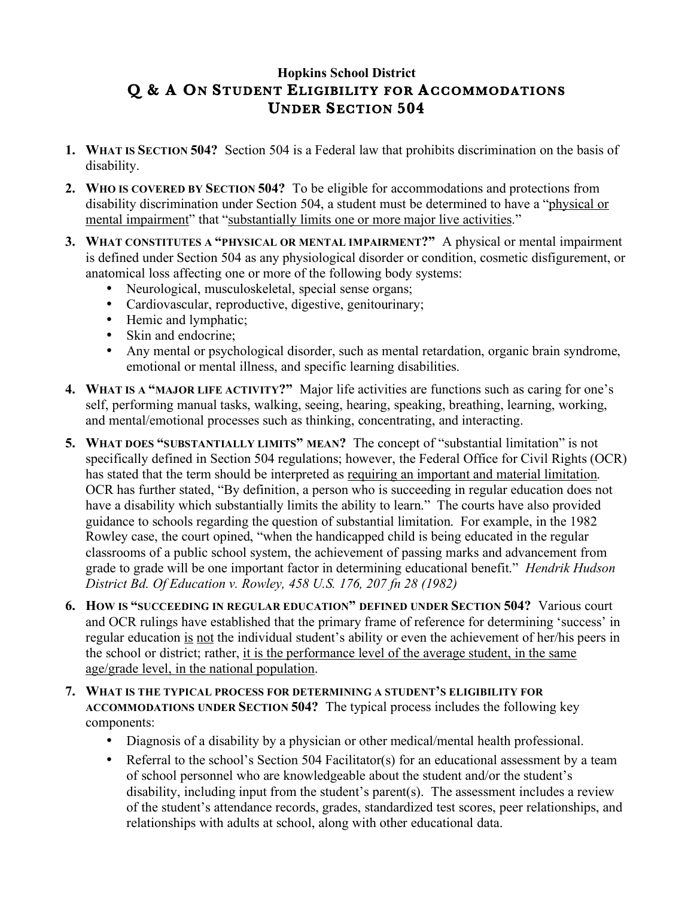## **Hopkins School District Q & A ON STUDENT ELIGIBILITY FOR ACCOMMODATIONS UNDER SECTION 504**

- **1. WHAT IS SECTION 504?** Section 504 is a Federal law that prohibits discrimination on the basis of disability.
- **2. WHO IS COVERED BY SECTION 504?** To be eligible for accommodations and protections from disability discrimination under Section 504, a student must be determined to have a "physical or mental impairment" that "substantially limits one or more major live activities."
- **3. WHAT CONSTITUTES A "PHYSICAL OR MENTAL IMPAIRMENT?"** A physical or mental impairment is defined under Section 504 as any physiological disorder or condition, cosmetic disfigurement, or anatomical loss affecting one or more of the following body systems:
	- Neurological, musculoskeletal, special sense organs;
	- Cardiovascular, reproductive, digestive, genitourinary;
	- Hemic and lymphatic;
	- Skin and endocrine;
	- Any mental or psychological disorder, such as mental retardation, organic brain syndrome, emotional or mental illness, and specific learning disabilities.
- **4. WHAT IS A "MAJOR LIFE ACTIVITY?"** Major life activities are functions such as caring for one's self, performing manual tasks, walking, seeing, hearing, speaking, breathing, learning, working, and mental/emotional processes such as thinking, concentrating, and interacting.
- **5. WHAT DOES "SUBSTANTIALLY LIMITS" MEAN?** The concept of "substantial limitation" is not specifically defined in Section 504 regulations; however, the Federal Office for Civil Rights (OCR) has stated that the term should be interpreted as requiring an important and material limitation. OCR has further stated, "By definition, a person who is succeeding in regular education does not have a disability which substantially limits the ability to learn." The courts have also provided guidance to schools regarding the question of substantial limitation. For example, in the 1982 Rowley case, the court opined, "when the handicapped child is being educated in the regular classrooms of a public school system, the achievement of passing marks and advancement from grade to grade will be one important factor in determining educational benefit." *Hendrik Hudson District Bd. Of Education v. Rowley, 458 U.S. 176, 207 fn 28 (1982)*
- **6. HOW IS "SUCCEEDING IN REGULAR EDUCATION" DEFINED UNDER SECTION 504?** Various court and OCR rulings have established that the primary frame of reference for determining 'success' in regular education is not the individual student's ability or even the achievement of her/his peers in the school or district; rather, it is the performance level of the average student, in the same age/grade level, in the national population.
- **7. WHAT IS THE TYPICAL PROCESS FOR DETERMINING A STUDENT'S ELIGIBILITY FOR ACCOMMODATIONS UNDER SECTION 504?** The typical process includes the following key components:
	- Diagnosis of a disability by a physician or other medical/mental health professional.
	- Referral to the school's Section 504 Facilitator(s) for an educational assessment by a team of school personnel who are knowledgeable about the student and/or the student's disability, including input from the student's parent(s). The assessment includes a review of the student's attendance records, grades, standardized test scores, peer relationships, and relationships with adults at school, along with other educational data.